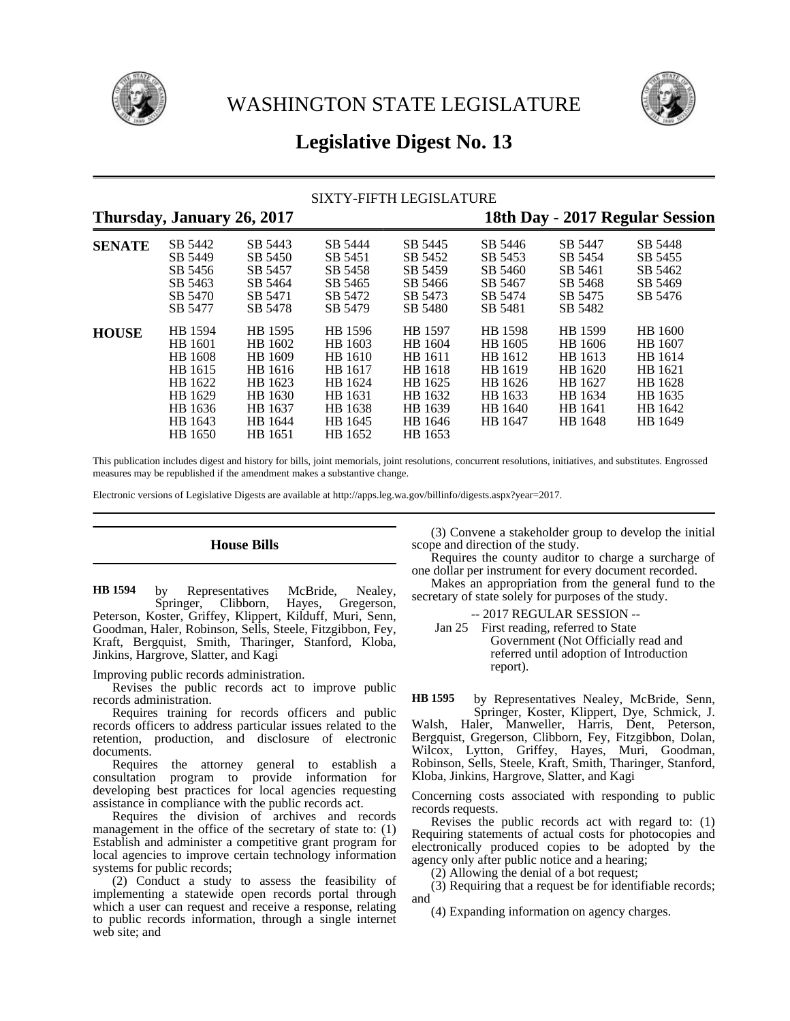



# **Legislative Digest No. 13**

# SIXTY-FIFTH LEGISLATURE

# **Thursday, January 26, 2017 18th Day - 2017 Regular Session SENATE** SB 5442 SB 5443 SB 5444 SB 5445 SB 5446 SB 5447 SB 5448 SB 5449 SB 5450 SB 5451 SB 5452 SB 5453 SB 5454 SB 5455 SB 5456 SB 5457 SB 5458 SB 5459 SB 5460 SB 5461 SB 5462 SB 5463 SB 5464 SB 5465 SB 5466 SB 5467 SB 5468 SB 5469 SB 5470 SB 5471 SB 5472 SB 5473 SB 5474 SB 5475 SB 5476 SB 5477 SB 5478 SB 5479 SB 5480 SB 5481 SB 5482 **HOUSE** HB 1594 HB 1595 HB 1596 HB 1597 HB 1598 HB 1599 HB 1600 HB 1601 HB 1602 HB 1603 HB 1604 HB 1605 HB 1606 HB 1607 HB 1608 HB 1609 HB 1610 HB 1611 HB 1612 HB 1613 HB 1614 HB 1615 HB 1616 HB 1617 HB 1618 HB 1619 HB 1620 HB 1621 HB 1622 HB 1623 HB 1624 HB 1625 HB 1626 HB 1627 HB 1628 HB 1629 HB 1630 HB 1631 HB 1632 HB 1633 HB 1634 HB 1635 HB 1636 HB 1637 HB 1638 HB 1639 HB 1640 HB 1641 HB 1642 HB 1643 HB 1644 HB 1645 HB 1646 HB 1647 HB 1648 HB 1649 HB 1650 HB 1651 HB 1652 HB 1653

This publication includes digest and history for bills, joint memorials, joint resolutions, concurrent resolutions, initiatives, and substitutes. Engrossed measures may be republished if the amendment makes a substantive change.

Electronic versions of Legislative Digests are available at http://apps.leg.wa.gov/billinfo/digests.aspx?year=2017.

# **House Bills**

by Representatives McBride, Nealey, Springer, Clibborn, Hayes, Gregerson, Peterson, Koster, Griffey, Klippert, Kilduff, Muri, Senn, Goodman, Haler, Robinson, Sells, Steele, Fitzgibbon, Fey, Kraft, Bergquist, Smith, Tharinger, Stanford, Kloba, Jinkins, Hargrove, Slatter, and Kagi **HB 1594**

Improving public records administration.

Revises the public records act to improve public records administration.

Requires training for records officers and public records officers to address particular issues related to the retention, production, and disclosure of electronic documents.

Requires the attorney general to establish a consultation program to provide information for developing best practices for local agencies requesting assistance in compliance with the public records act.

Requires the division of archives and records management in the office of the secretary of state to: (1) Establish and administer a competitive grant program for local agencies to improve certain technology information systems for public records;

(2) Conduct a study to assess the feasibility of implementing a statewide open records portal through which a user can request and receive a response, relating to public records information, through a single internet web site; and

(3) Convene a stakeholder group to develop the initial scope and direction of the study.

Requires the county auditor to charge a surcharge of one dollar per instrument for every document recorded.

Makes an appropriation from the general fund to the secretary of state solely for purposes of the study.

-- 2017 REGULAR SESSION --

Jan 25 First reading, referred to State Government (Not Officially read and referred until adoption of Introduction report).

by Representatives Nealey, McBride, Senn, **HB 1595**

Springer, Koster, Klippert, Dye, Schmick, J. Walsh, Haler, Manweller, Harris, Dent, Peterson, Bergquist, Gregerson, Clibborn, Fey, Fitzgibbon, Dolan, Wilcox, Lytton, Griffey, Hayes, Muri, Goodman, Robinson, Sells, Steele, Kraft, Smith, Tharinger, Stanford, Kloba, Jinkins, Hargrove, Slatter, and Kagi

Concerning costs associated with responding to public records requests.

Revises the public records act with regard to: (1) Requiring statements of actual costs for photocopies and electronically produced copies to be adopted by the agency only after public notice and a hearing;

(2) Allowing the denial of a bot request;

(3) Requiring that a request be for identifiable records; and

(4) Expanding information on agency charges.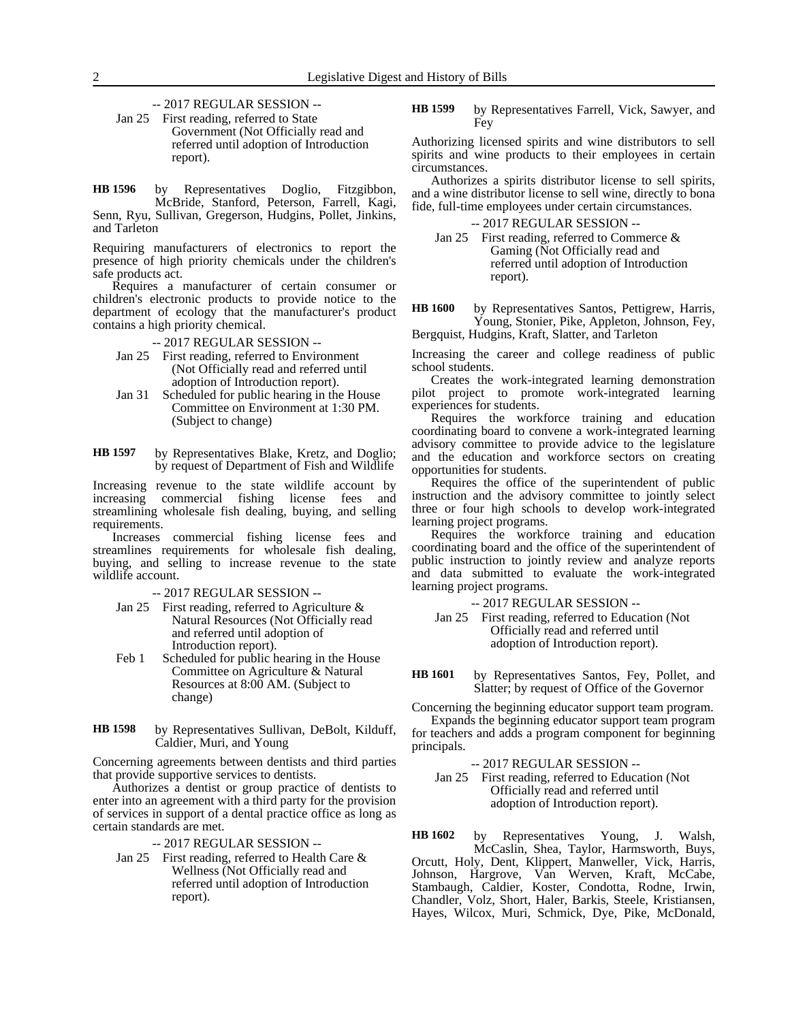-- 2017 REGULAR SESSION --

Jan 25 First reading, referred to State Government (Not Officially read and referred until adoption of Introduction report).

by Representatives Doglio, Fitzgibbon, McBride, Stanford, Peterson, Farrell, Kagi, Senn, Ryu, Sullivan, Gregerson, Hudgins, Pollet, Jinkins, and Tarleton **HB 1596**

Requiring manufacturers of electronics to report the presence of high priority chemicals under the children's safe products act.

Requires a manufacturer of certain consumer or children's electronic products to provide notice to the department of ecology that the manufacturer's product contains a high priority chemical.

-- 2017 REGULAR SESSION --

- Jan 25 First reading, referred to Environment (Not Officially read and referred until adoption of Introduction report).
- Jan 31 Scheduled for public hearing in the House Committee on Environment at 1:30 PM. (Subject to change)

by Representatives Blake, Kretz, and Doglio; by request of Department of Fish and Wildlife **HB 1597**

Increasing revenue to the state wildlife account by increasing commercial fishing license fees and streamlining wholesale fish dealing, buying, and selling requirements.

Increases commercial fishing license fees and streamlines requirements for wholesale fish dealing, buying, and selling to increase revenue to the state wildlife account.

-- 2017 REGULAR SESSION --

- Jan 25 First reading, referred to Agriculture & Natural Resources (Not Officially read and referred until adoption of Introduction report).
- Feb 1 Scheduled for public hearing in the House Committee on Agriculture & Natural Resources at 8:00 AM. (Subject to change)
- by Representatives Sullivan, DeBolt, Kilduff, Caldier, Muri, and Young **HB 1598**

Concerning agreements between dentists and third parties that provide supportive services to dentists.

Authorizes a dentist or group practice of dentists to enter into an agreement with a third party for the provision of services in support of a dental practice office as long as certain standards are met.

- -- 2017 REGULAR SESSION --
- Jan 25 First reading, referred to Health Care & Wellness (Not Officially read and referred until adoption of Introduction report).

by Representatives Farrell, Vick, Sawyer, and Fey **HB 1599**

Authorizing licensed spirits and wine distributors to sell spirits and wine products to their employees in certain circumstances.

Authorizes a spirits distributor license to sell spirits, and a wine distributor license to sell wine, directly to bona fide, full-time employees under certain circumstances.

-- 2017 REGULAR SESSION --

Jan 25 First reading, referred to Commerce & Gaming (Not Officially read and referred until adoption of Introduction report).

by Representatives Santos, Pettigrew, Harris, Young, Stonier, Pike, Appleton, Johnson, Fey, Bergquist, Hudgins, Kraft, Slatter, and Tarleton **HB 1600**

Increasing the career and college readiness of public school students.

Creates the work-integrated learning demonstration pilot project to promote work-integrated learning experiences for students.

Requires the workforce training and education coordinating board to convene a work-integrated learning advisory committee to provide advice to the legislature and the education and workforce sectors on creating opportunities for students.

Requires the office of the superintendent of public instruction and the advisory committee to jointly select three or four high schools to develop work-integrated learning project programs.

Requires the workforce training and education coordinating board and the office of the superintendent of public instruction to jointly review and analyze reports and data submitted to evaluate the work-integrated learning project programs.

-- 2017 REGULAR SESSION --

- Jan 25 First reading, referred to Education (Not Officially read and referred until adoption of Introduction report).
- by Representatives Santos, Fey, Pollet, and Slatter; by request of Office of the Governor **HB 1601**

Concerning the beginning educator support team program.

Expands the beginning educator support team program for teachers and adds a program component for beginning principals.

-- 2017 REGULAR SESSION --

Jan 25 First reading, referred to Education (Not Officially read and referred until adoption of Introduction report).

by Representatives Young, J. Walsh, McCaslin, Shea, Taylor, Harmsworth, Buys, Orcutt, Holy, Dent, Klippert, Manweller, Vick, Harris, Johnson, Hargrove, Van Werven, Kraft, McCabe, Stambaugh, Caldier, Koster, Condotta, Rodne, Irwin, Chandler, Volz, Short, Haler, Barkis, Steele, Kristiansen, Hayes, Wilcox, Muri, Schmick, Dye, Pike, McDonald, **HB 1602**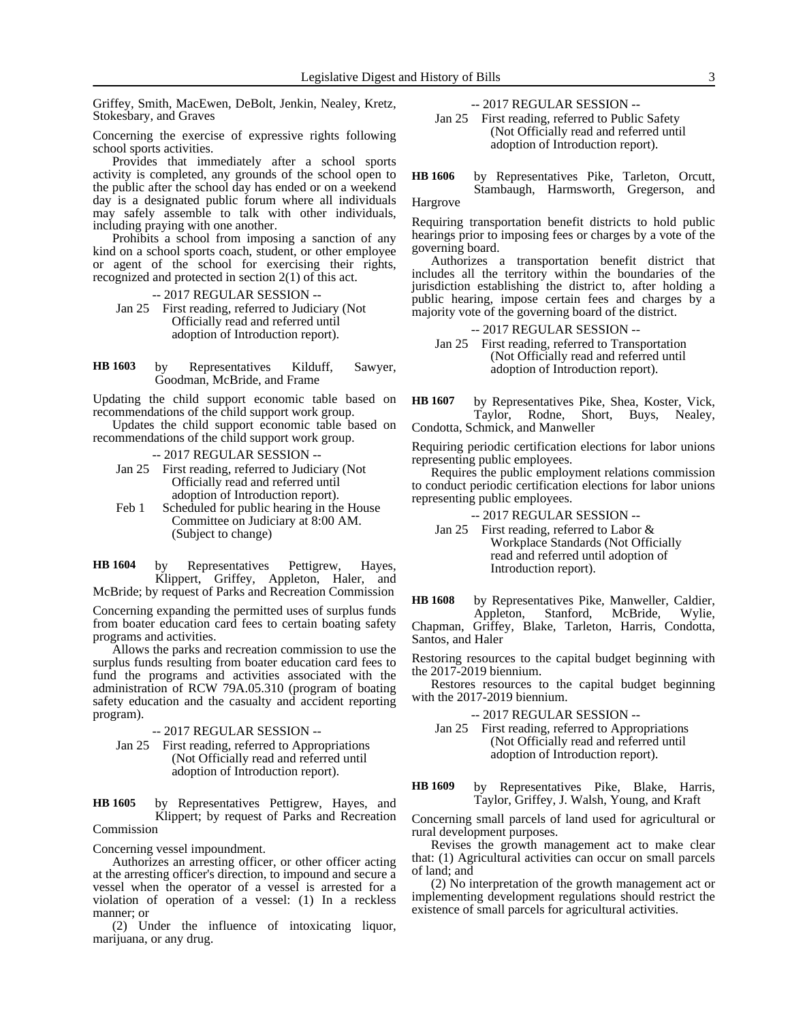Griffey, Smith, MacEwen, DeBolt, Jenkin, Nealey, Kretz, Stokesbary, and Graves

Concerning the exercise of expressive rights following school sports activities.

Provides that immediately after a school sports activity is completed, any grounds of the school open to the public after the school day has ended or on a weekend day is a designated public forum where all individuals may safely assemble to talk with other individuals, including praying with one another.

Prohibits a school from imposing a sanction of any kind on a school sports coach, student, or other employee or agent of the school for exercising their rights, recognized and protected in section 2(1) of this act.

-- 2017 REGULAR SESSION --

Jan 25 First reading, referred to Judiciary (Not Officially read and referred until adoption of Introduction report).

by Representatives Kilduff, Sawyer, Goodman, McBride, and Frame **HB 1603**

Updating the child support economic table based on recommendations of the child support work group.

Updates the child support economic table based on recommendations of the child support work group.

-- 2017 REGULAR SESSION --

- Jan 25 First reading, referred to Judiciary (Not Officially read and referred until adoption of Introduction report).
- Feb 1 Scheduled for public hearing in the House Committee on Judiciary at 8:00 AM. (Subject to change)

by Representatives Pettigrew, Hayes, Klippert, Griffey, Appleton, Haler, and McBride; by request of Parks and Recreation Commission **HB 1604**

Concerning expanding the permitted uses of surplus funds from boater education card fees to certain boating safety programs and activities.

Allows the parks and recreation commission to use the surplus funds resulting from boater education card fees to fund the programs and activities associated with the administration of RCW 79A.05.310 (program of boating safety education and the casualty and accident reporting program).

-- 2017 REGULAR SESSION --

Jan 25 First reading, referred to Appropriations (Not Officially read and referred until adoption of Introduction report).

by Representatives Pettigrew, Hayes, and Klippert; by request of Parks and Recreation **HB 1605**

# Commission

Concerning vessel impoundment.

Authorizes an arresting officer, or other officer acting at the arresting officer's direction, to impound and secure a vessel when the operator of a vessel is arrested for a violation of operation of a vessel: (1) In a reckless manner; or

(2) Under the influence of intoxicating liquor, marijuana, or any drug.

-- 2017 REGULAR SESSION --

Jan 25 First reading, referred to Public Safety (Not Officially read and referred until adoption of Introduction report).

by Representatives Pike, Tarleton, Orcutt, Stambaugh, Harmsworth, Gregerson, and **HB 1606**

Hargrove

Requiring transportation benefit districts to hold public hearings prior to imposing fees or charges by a vote of the governing board.

Authorizes a transportation benefit district that includes all the territory within the boundaries of the jurisdiction establishing the district to, after holding a public hearing, impose certain fees and charges by a majority vote of the governing board of the district.

### -- 2017 REGULAR SESSION --

Jan 25 First reading, referred to Transportation (Not Officially read and referred until adoption of Introduction report).

by Representatives Pike, Shea, Koster, Vick, Taylor, Rodne, Short, Buys, Nealey, Condotta, Schmick, and Manweller **HB 1607**

Requiring periodic certification elections for labor unions representing public employees.

Requires the public employment relations commission to conduct periodic certification elections for labor unions representing public employees.

-- 2017 REGULAR SESSION --

Jan 25 First reading, referred to Labor & Workplace Standards (Not Officially read and referred until adoption of Introduction report).

by Representatives Pike, Manweller, Caldier, Appleton, Stanford, McBride, Wylie, McBride, Chapman, Griffey, Blake, Tarleton, Harris, Condotta, **HB 1608**

Santos, and Haler

Restoring resources to the capital budget beginning with the 2017-2019 biennium.

Restores resources to the capital budget beginning with the 2017-2019 biennium.

-- 2017 REGULAR SESSION --

Jan 25 First reading, referred to Appropriations (Not Officially read and referred until adoption of Introduction report).

by Representatives Pike, Blake, Harris, Taylor, Griffey, J. Walsh, Young, and Kraft **HB 1609**

Concerning small parcels of land used for agricultural or rural development purposes.

Revises the growth management act to make clear that: (1) Agricultural activities can occur on small parcels of land; and

(2) No interpretation of the growth management act or implementing development regulations should restrict the existence of small parcels for agricultural activities.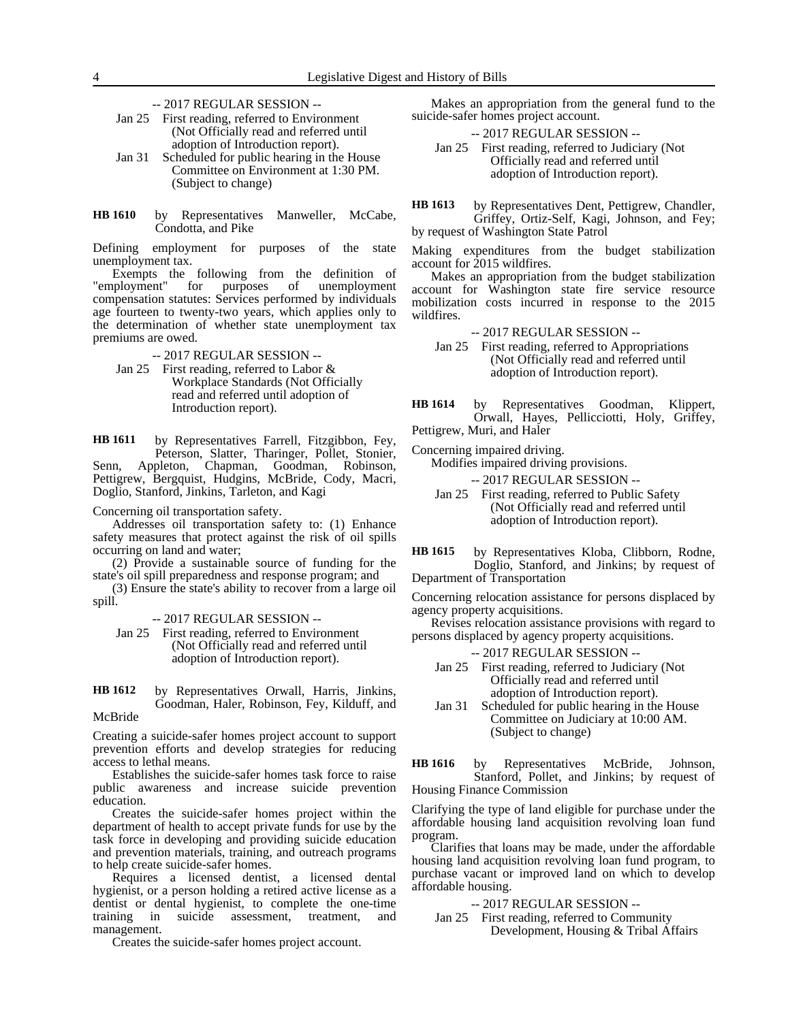- -- 2017 REGULAR SESSION --
- Jan 25 First reading, referred to Environment (Not Officially read and referred until adoption of Introduction report).
- Jan 31 Scheduled for public hearing in the House Committee on Environment at 1:30 PM. (Subject to change)
- by Representatives Manweller, McCabe, Condotta, and Pike **HB 1610**

Defining employment for purposes of the state unemployment tax.

Exempts the following from the definition of unemployment" for purposes of unemployment "employment" for purposes of unemployment compensation statutes: Services performed by individuals age fourteen to twenty-two years, which applies only to the determination of whether state unemployment tax premiums are owed.

- -- 2017 REGULAR SESSION --
- Jan 25 First reading, referred to Labor & Workplace Standards (Not Officially read and referred until adoption of Introduction report).

by Representatives Farrell, Fitzgibbon, Fey, Peterson, Slatter, Tharinger, Pollet, Stonier, Senn, Appleton, Chapman, Goodman, Robinson, Pettigrew, Bergquist, Hudgins, McBride, Cody, Macri, Doglio, Stanford, Jinkins, Tarleton, and Kagi **HB 1611**

Concerning oil transportation safety.

Addresses oil transportation safety to: (1) Enhance safety measures that protect against the risk of oil spills occurring on land and water;

(2) Provide a sustainable source of funding for the state's oil spill preparedness and response program; and

(3) Ensure the state's ability to recover from a large oil spill.

-- 2017 REGULAR SESSION --

Jan 25 First reading, referred to Environment (Not Officially read and referred until adoption of Introduction report).

Creating a suicide-safer homes project account to support prevention efforts and develop strategies for reducing access to lethal means.

Establishes the suicide-safer homes task force to raise public awareness and increase suicide prevention education.

Creates the suicide-safer homes project within the department of health to accept private funds for use by the task force in developing and providing suicide education and prevention materials, training, and outreach programs to help create suicide-safer homes.

Requires a licensed dentist, a licensed dental hygienist, or a person holding a retired active license as a dentist or dental hygienist, to complete the one-time training in suicide assessment, treatment, and management.

Creates the suicide-safer homes project account.

Makes an appropriation from the general fund to the suicide-safer homes project account.

-- 2017 REGULAR SESSION --

Jan 25 First reading, referred to Judiciary (Not Officially read and referred until adoption of Introduction report).

by Representatives Dent, Pettigrew, Chandler, Griffey, Ortiz-Self, Kagi, Johnson, and Fey; by request of Washington State Patrol **HB 1613**

Making expenditures from the budget stabilization account for 2015 wildfires.

Makes an appropriation from the budget stabilization account for Washington state fire service resource mobilization costs incurred in response to the 2015 wildfires.

- -- 2017 REGULAR SESSION --
- Jan 25 First reading, referred to Appropriations (Not Officially read and referred until adoption of Introduction report).
- by Representatives Goodman, Klippert, Orwall, Hayes, Pellicciotti, Holy, Griffey, Pettigrew, Muri, and Haler **HB 1614**

Concerning impaired driving.

Modifies impaired driving provisions.

-- 2017 REGULAR SESSION --

- Jan 25 First reading, referred to Public Safety (Not Officially read and referred until adoption of Introduction report).
- by Representatives Kloba, Clibborn, Rodne, Doglio, Stanford, and Jinkins; by request of Department of Transportation **HB 1615**

Concerning relocation assistance for persons displaced by agency property acquisitions.

Revises relocation assistance provisions with regard to persons displaced by agency property acquisitions.

- -- 2017 REGULAR SESSION --
- Jan 25 First reading, referred to Judiciary (Not Officially read and referred until adoption of Introduction report).
- Jan 31 Scheduled for public hearing in the House Committee on Judiciary at 10:00 AM. (Subject to change)

by Representatives McBride, Johnson, Stanford, Pollet, and Jinkins; by request of Housing Finance Commission **HB 1616**

Clarifying the type of land eligible for purchase under the affordable housing land acquisition revolving loan fund program.

Clarifies that loans may be made, under the affordable housing land acquisition revolving loan fund program, to purchase vacant or improved land on which to develop affordable housing.

-- 2017 REGULAR SESSION --

Jan 25 First reading, referred to Community Development, Housing & Tribal Affairs

by Representatives Orwall, Harris, Jinkins, Goodman, Haler, Robinson, Fey, Kilduff, and McBride **HB 1612**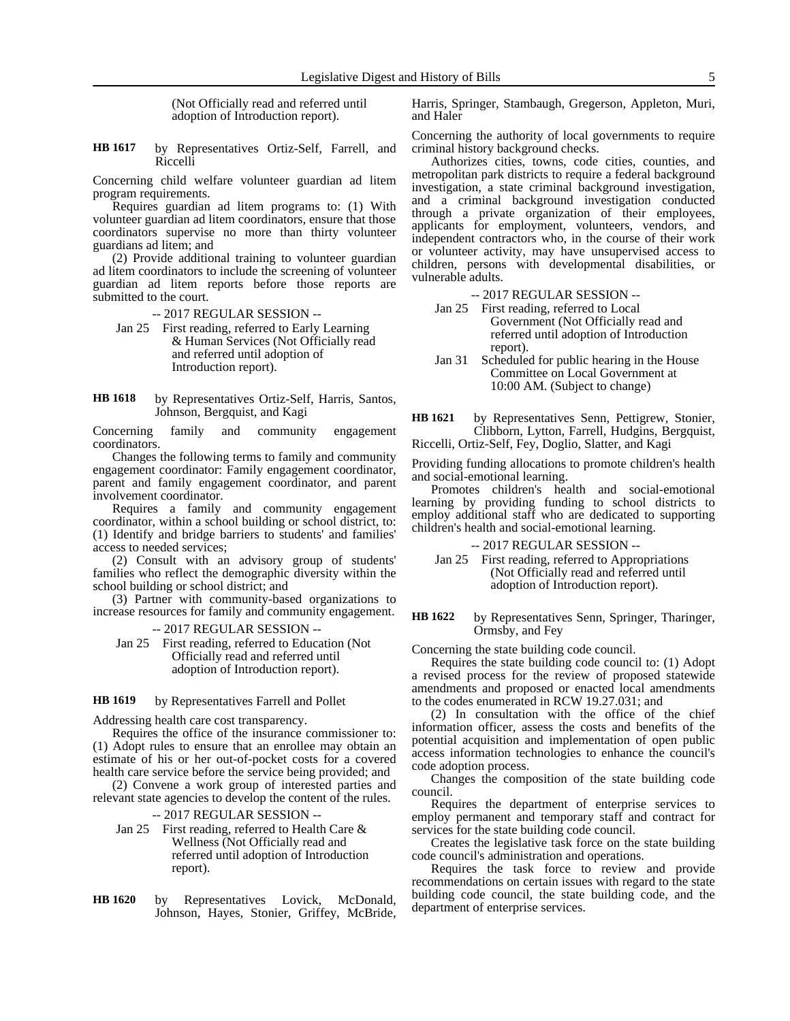(Not Officially read and referred until adoption of Introduction report).

by Representatives Ortiz-Self, Farrell, and Riccelli **HB 1617**

Concerning child welfare volunteer guardian ad litem program requirements.

Requires guardian ad litem programs to: (1) With volunteer guardian ad litem coordinators, ensure that those coordinators supervise no more than thirty volunteer guardians ad litem; and

(2) Provide additional training to volunteer guardian ad litem coordinators to include the screening of volunteer guardian ad litem reports before those reports are submitted to the court.

-- 2017 REGULAR SESSION --

- Jan 25 First reading, referred to Early Learning & Human Services (Not Officially read and referred until adoption of Introduction report).
- by Representatives Ortiz-Self, Harris, Santos, Johnson, Bergquist, and Kagi **HB 1618**

Concerning family and community engagement coordinators.

Changes the following terms to family and community engagement coordinator: Family engagement coordinator, parent and family engagement coordinator, and parent involvement coordinator.

Requires a family and community engagement coordinator, within a school building or school district, to: (1) Identify and bridge barriers to students' and families' access to needed services;

(2) Consult with an advisory group of students' families who reflect the demographic diversity within the school building or school district; and

(3) Partner with community-based organizations to increase resources for family and community engagement.

-- 2017 REGULAR SESSION --

Jan 25 First reading, referred to Education (Not Officially read and referred until adoption of Introduction report).

#### by Representatives Farrell and Pollet **HB 1619**

Addressing health care cost transparency.

Requires the office of the insurance commissioner to: (1) Adopt rules to ensure that an enrollee may obtain an estimate of his or her out-of-pocket costs for a covered health care service before the service being provided; and

(2) Convene a work group of interested parties and relevant state agencies to develop the content of the rules.

-- 2017 REGULAR SESSION --

- Jan 25 First reading, referred to Health Care & Wellness (Not Officially read and referred until adoption of Introduction report).
- by Representatives Lovick, McDonald, Johnson, Hayes, Stonier, Griffey, McBride, **HB 1620**

Harris, Springer, Stambaugh, Gregerson, Appleton, Muri, and Haler

Concerning the authority of local governments to require criminal history background checks.

Authorizes cities, towns, code cities, counties, and metropolitan park districts to require a federal background investigation, a state criminal background investigation, and a criminal background investigation conducted through a private organization of their employees, applicants for employment, volunteers, vendors, and independent contractors who, in the course of their work or volunteer activity, may have unsupervised access to children, persons with developmental disabilities, or vulnerable adults.

-- 2017 REGULAR SESSION --

- Jan 25 First reading, referred to Local Government (Not Officially read and referred until adoption of Introduction report).
- Jan 31 Scheduled for public hearing in the House Committee on Local Government at 10:00 AM. (Subject to change)
- by Representatives Senn, Pettigrew, Stonier, Clibborn, Lytton, Farrell, Hudgins, Bergquist, Riccelli, Ortiz-Self, Fey, Doglio, Slatter, and Kagi **HB 1621**

Providing funding allocations to promote children's health and social-emotional learning.

Promotes children's health and social-emotional learning by providing funding to school districts to employ additional staff who are dedicated to supporting children's health and social-emotional learning.

-- 2017 REGULAR SESSION --

Jan 25 First reading, referred to Appropriations (Not Officially read and referred until adoption of Introduction report).

by Representatives Senn, Springer, Tharinger, Ormsby, and Fey **HB 1622**

Concerning the state building code council.

Requires the state building code council to: (1) Adopt a revised process for the review of proposed statewide amendments and proposed or enacted local amendments to the codes enumerated in RCW 19.27.031; and

(2) In consultation with the office of the chief information officer, assess the costs and benefits of the potential acquisition and implementation of open public access information technologies to enhance the council's code adoption process.

Changes the composition of the state building code council.

Requires the department of enterprise services to employ permanent and temporary staff and contract for services for the state building code council.

Creates the legislative task force on the state building code council's administration and operations.

Requires the task force to review and provide recommendations on certain issues with regard to the state building code council, the state building code, and the department of enterprise services.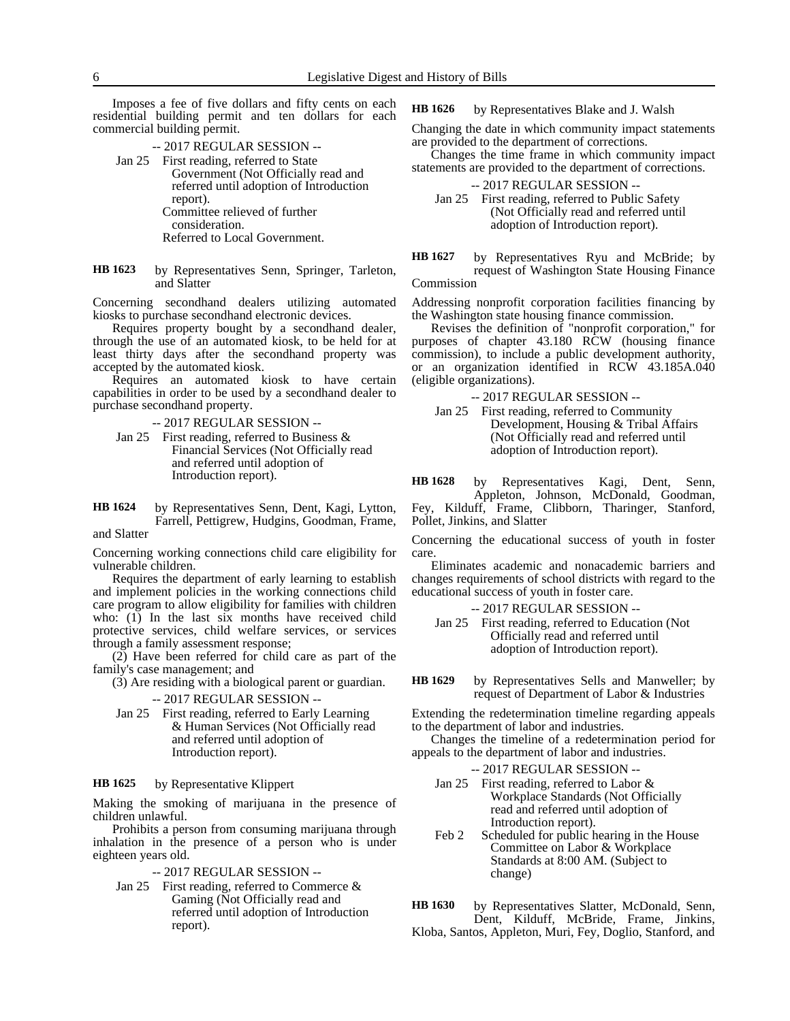Imposes a fee of five dollars and fifty cents on each residential building permit and ten dollars for each commercial building permit.

-- 2017 REGULAR SESSION --

- Jan 25 First reading, referred to State Government (Not Officially read and referred until adoption of Introduction report). Committee relieved of further consideration. Referred to Local Government.
- by Representatives Senn, Springer, Tarleton, and Slatter **HB 1623**

Concerning secondhand dealers utilizing automated kiosks to purchase secondhand electronic devices.

Requires property bought by a secondhand dealer, through the use of an automated kiosk, to be held for at least thirty days after the secondhand property was accepted by the automated kiosk.

Requires an automated kiosk to have certain capabilities in order to be used by a secondhand dealer to purchase secondhand property.

-- 2017 REGULAR SESSION --

- Jan 25 First reading, referred to Business  $\&$ Financial Services (Not Officially read and referred until adoption of Introduction report).
- by Representatives Senn, Dent, Kagi, Lytton, Farrell, Pettigrew, Hudgins, Goodman, Frame, and Slatter **HB 1624**

Concerning working connections child care eligibility for vulnerable children.

Requires the department of early learning to establish and implement policies in the working connections child care program to allow eligibility for families with children who: (1) In the last six months have received child protective services, child welfare services, or services through a family assessment response;

(2) Have been referred for child care as part of the family's case management; and

(3) Are residing with a biological parent or guardian.

### -- 2017 REGULAR SESSION --

Jan 25 First reading, referred to Early Learning & Human Services (Not Officially read and referred until adoption of Introduction report).

#### by Representative Klippert **HB 1625**

Making the smoking of marijuana in the presence of children unlawful.

Prohibits a person from consuming marijuana through inhalation in the presence of a person who is under eighteen years old.

-- 2017 REGULAR SESSION --

Jan 25 First reading, referred to Commerce & Gaming (Not Officially read and referred until adoption of Introduction report).

by Representatives Blake and J. Walsh **HB 1626**

Changing the date in which community impact statements are provided to the department of corrections.

Changes the time frame in which community impact statements are provided to the department of corrections.

-- 2017 REGULAR SESSION --

Jan 25 First reading, referred to Public Safety (Not Officially read and referred until adoption of Introduction report).

by Representatives Ryu and McBride; by request of Washington State Housing Finance Commission **HB 1627**

Addressing nonprofit corporation facilities financing by the Washington state housing finance commission.

Revises the definition of "nonprofit corporation," for purposes of chapter 43.180 RCW (housing finance commission), to include a public development authority, or an organization identified in RCW 43.185A.040 (eligible organizations).

-- 2017 REGULAR SESSION --

Jan 25 First reading, referred to Community Development, Housing & Tribal Affairs (Not Officially read and referred until adoption of Introduction report).

by Representatives Kagi, Dent, Senn, Appleton, Johnson, McDonald, Goodman, **HB 1628**

Fey, Kilduff, Frame, Clibborn, Tharinger, Stanford, Pollet, Jinkins, and Slatter

Concerning the educational success of youth in foster care.

Eliminates academic and nonacademic barriers and changes requirements of school districts with regard to the educational success of youth in foster care.

-- 2017 REGULAR SESSION -- Jan 25 First reading, referred to Education (Not Officially read and referred until adoption of Introduction report).

by Representatives Sells and Manweller; by request of Department of Labor & Industries **HB 1629**

Extending the redetermination timeline regarding appeals to the department of labor and industries.

Changes the timeline of a redetermination period for appeals to the department of labor and industries.

-- 2017 REGULAR SESSION --

- Jan 25 First reading, referred to Labor & Workplace Standards (Not Officially read and referred until adoption of Introduction report).
- Feb 2 Scheduled for public hearing in the House Committee on Labor & Workplace Standards at 8:00 AM. (Subject to change)

by Representatives Slatter, McDonald, Senn, Dent, Kilduff, McBride, Frame, Jinkins, **HB 1630**

Kloba, Santos, Appleton, Muri, Fey, Doglio, Stanford, and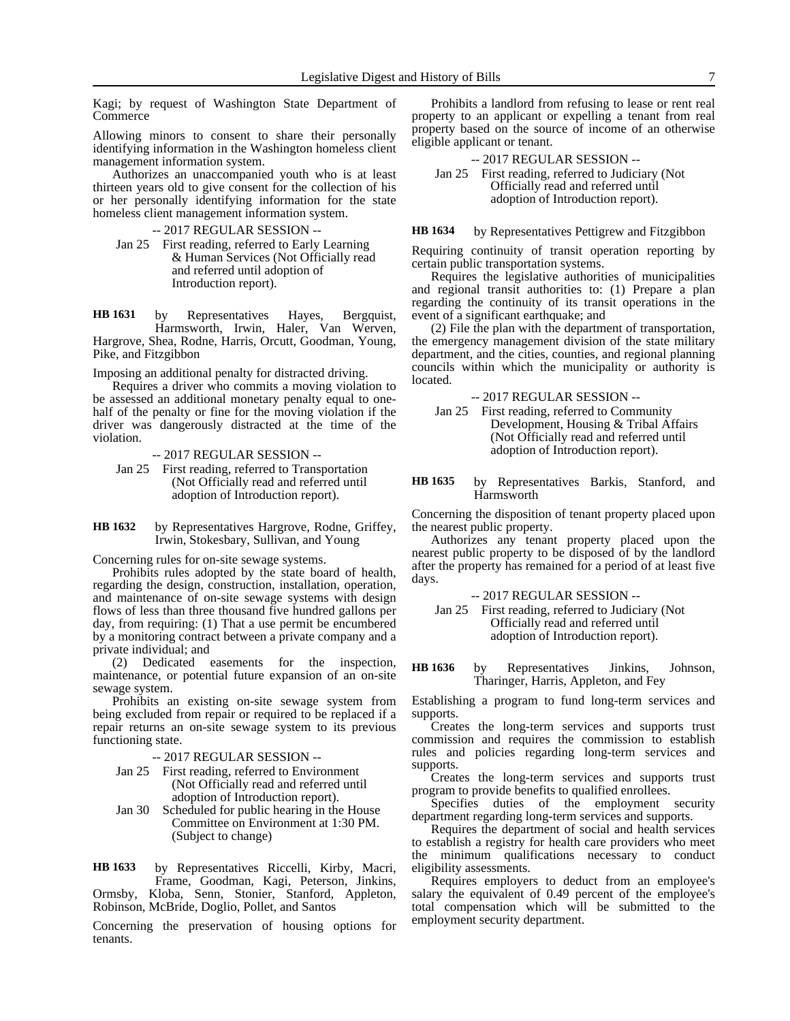Kagi; by request of Washington State Department of Commerce

Allowing minors to consent to share their personally identifying information in the Washington homeless client management information system.

Authorizes an unaccompanied youth who is at least thirteen years old to give consent for the collection of his or her personally identifying information for the state homeless client management information system.

- -- 2017 REGULAR SESSION --
- Jan 25 First reading, referred to Early Learning & Human Services (Not Officially read and referred until adoption of Introduction report).

by Representatives Hayes, Bergquist, Harmsworth, Irwin, Haler, Van Werven, Hargrove, Shea, Rodne, Harris, Orcutt, Goodman, Young, Pike, and Fitzgibbon **HB 1631**

Imposing an additional penalty for distracted driving.

Requires a driver who commits a moving violation to be assessed an additional monetary penalty equal to onehalf of the penalty or fine for the moving violation if the driver was dangerously distracted at the time of the violation.

- -- 2017 REGULAR SESSION --
- Jan 25 First reading, referred to Transportation (Not Officially read and referred until adoption of Introduction report).

by Representatives Hargrove, Rodne, Griffey, Irwin, Stokesbary, Sullivan, and Young **HB 1632**

Concerning rules for on-site sewage systems.

Prohibits rules adopted by the state board of health, regarding the design, construction, installation, operation, and maintenance of on-site sewage systems with design flows of less than three thousand five hundred gallons per day, from requiring: (1) That a use permit be encumbered by a monitoring contract between a private company and a private individual; and

(2) Dedicated easements for the inspection, maintenance, or potential future expansion of an on-site sewage system.

Prohibits an existing on-site sewage system from being excluded from repair or required to be replaced if a repair returns an on-site sewage system to its previous functioning state.

-- 2017 REGULAR SESSION --

- Jan 25 First reading, referred to Environment (Not Officially read and referred until adoption of Introduction report).
- Jan 30 Scheduled for public hearing in the House Committee on Environment at 1:30 PM. (Subject to change)

by Representatives Riccelli, Kirby, Macri, Frame, Goodman, Kagi, Peterson, Jinkins, Ormsby, Kloba, Senn, Stonier, Stanford, Appleton, Robinson, McBride, Doglio, Pollet, and Santos **HB 1633**

Concerning the preservation of housing options for tenants.

Prohibits a landlord from refusing to lease or rent real property to an applicant or expelling a tenant from real property based on the source of income of an otherwise eligible applicant or tenant.

-- 2017 REGULAR SESSION -- Jan 25 First reading, referred to Judiciary (Not Officially read and referred until adoption of Introduction report).

by Representatives Pettigrew and Fitzgibbon **HB 1634**

Requiring continuity of transit operation reporting by certain public transportation systems.

Requires the legislative authorities of municipalities and regional transit authorities to: (1) Prepare a plan regarding the continuity of its transit operations in the event of a significant earthquake; and

(2) File the plan with the department of transportation, the emergency management division of the state military department, and the cities, counties, and regional planning councils within which the municipality or authority is located.

-- 2017 REGULAR SESSION --

- Jan 25 First reading, referred to Community Development, Housing & Tribal Affairs (Not Officially read and referred until adoption of Introduction report).
- by Representatives Barkis, Stanford, and Harmsworth **HB 1635**

Concerning the disposition of tenant property placed upon the nearest public property.

Authorizes any tenant property placed upon the nearest public property to be disposed of by the landlord after the property has remained for a period of at least five days.

-- 2017 REGULAR SESSION --

Jan 25 First reading, referred to Judiciary (Not Officially read and referred until adoption of Introduction report).

by Representatives Jinkins, Johnson, Tharinger, Harris, Appleton, and Fey **HB 1636**

Establishing a program to fund long-term services and supports.

Creates the long-term services and supports trust commission and requires the commission to establish rules and policies regarding long-term services and supports.

Creates the long-term services and supports trust program to provide benefits to qualified enrollees.

Specifies duties of the employment security department regarding long-term services and supports.

Requires the department of social and health services to establish a registry for health care providers who meet the minimum qualifications necessary to conduct eligibility assessments.

Requires employers to deduct from an employee's salary the equivalent of 0.49 percent of the employee's total compensation which will be submitted to the employment security department.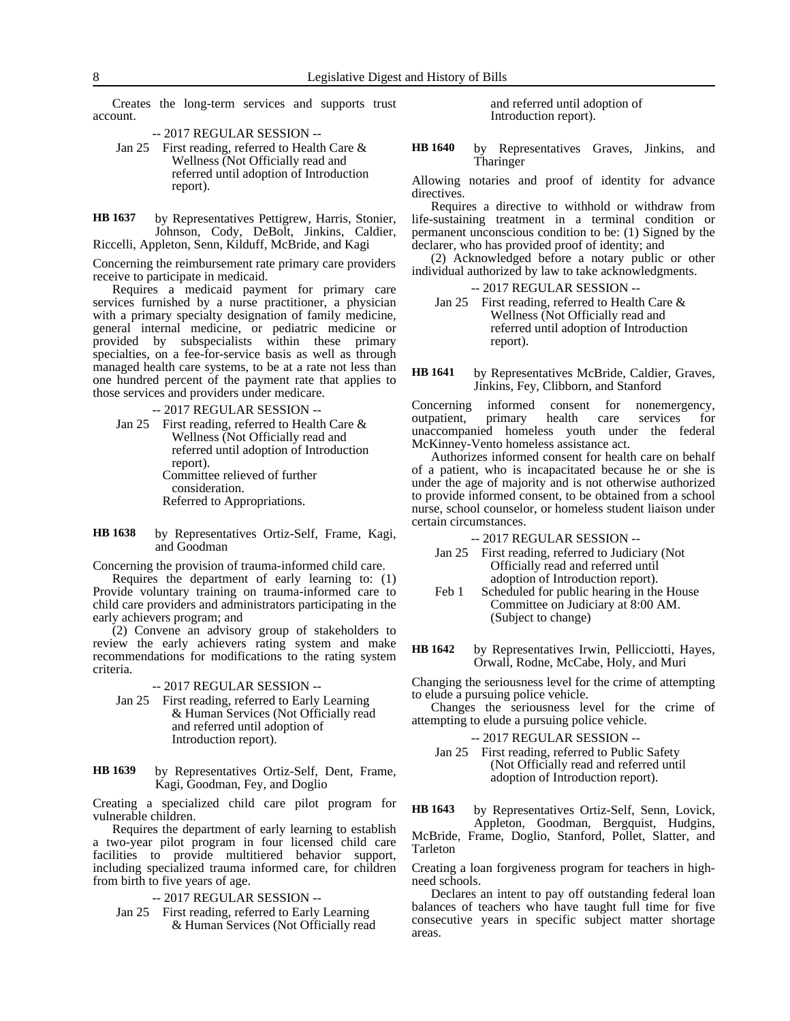Creates the long-term services and supports trust account.

-- 2017 REGULAR SESSION --

- Jan 25 First reading, referred to Health Care & Wellness (Not Officially read and referred until adoption of Introduction report).
- by Representatives Pettigrew, Harris, Stonier, Johnson, Cody, DeBolt, Jinkins, Caldier, Riccelli, Appleton, Senn, Kilduff, McBride, and Kagi **HB 1637**

Concerning the reimbursement rate primary care providers receive to participate in medicaid.

Requires a medicaid payment for primary care services furnished by a nurse practitioner, a physician with a primary specialty designation of family medicine, general internal medicine, or pediatric medicine or provided by subspecialists within these primary specialties, on a fee-for-service basis as well as through managed health care systems, to be at a rate not less than one hundred percent of the payment rate that applies to those services and providers under medicare.

-- 2017 REGULAR SESSION --

- Jan 25 First reading, referred to Health Care & Wellness (Not Officially read and referred until adoption of Introduction report). Committee relieved of further consideration. Referred to Appropriations.
- by Representatives Ortiz-Self, Frame, Kagi, and Goodman **HB 1638**

Concerning the provision of trauma-informed child care.

Requires the department of early learning to: (1) Provide voluntary training on trauma-informed care to child care providers and administrators participating in the early achievers program; and

(2) Convene an advisory group of stakeholders to review the early achievers rating system and make recommendations for modifications to the rating system criteria.

### -- 2017 REGULAR SESSION --

- Jan 25 First reading, referred to Early Learning & Human Services (Not Officially read and referred until adoption of Introduction report).
- by Representatives Ortiz-Self, Dent, Frame, Kagi, Goodman, Fey, and Doglio **HB 1639**

Creating a specialized child care pilot program for vulnerable children.

Requires the department of early learning to establish a two-year pilot program in four licensed child care facilities to provide multitiered behavior support, including specialized trauma informed care, for children from birth to five years of age.

-- 2017 REGULAR SESSION --

Jan 25 First reading, referred to Early Learning & Human Services (Not Officially read and referred until adoption of Introduction report).

by Representatives Graves, Jinkins, and Tharinger **HB 1640**

Allowing notaries and proof of identity for advance directives.

Requires a directive to withhold or withdraw from life-sustaining treatment in a terminal condition or permanent unconscious condition to be: (1) Signed by the declarer, who has provided proof of identity; and

(2) Acknowledged before a notary public or other individual authorized by law to take acknowledgments.

-- 2017 REGULAR SESSION --

Jan 25 First reading, referred to Health Care & Wellness (Not Officially read and referred until adoption of Introduction report).

by Representatives McBride, Caldier, Graves, Jinkins, Fey, Clibborn, and Stanford **HB 1641**

Concerning informed consent for nonemergency,<br>outpatient, primary health care services for outpatient, primary health care services for unaccompanied homeless youth under the federal McKinney-Vento homeless assistance act.

Authorizes informed consent for health care on behalf of a patient, who is incapacitated because he or she is under the age of majority and is not otherwise authorized to provide informed consent, to be obtained from a school nurse, school counselor, or homeless student liaison under certain circumstances.

-- 2017 REGULAR SESSION --

- Jan 25 First reading, referred to Judiciary (Not Officially read and referred until adoption of Introduction report).
- Feb 1 Scheduled for public hearing in the House Committee on Judiciary at 8:00 AM. (Subject to change)
- by Representatives Irwin, Pellicciotti, Hayes, Orwall, Rodne, McCabe, Holy, and Muri **HB 1642**

Changing the seriousness level for the crime of attempting to elude a pursuing police vehicle.

Changes the seriousness level for the crime of attempting to elude a pursuing police vehicle.

- -- 2017 REGULAR SESSION --
- Jan 25 First reading, referred to Public Safety (Not Officially read and referred until adoption of Introduction report).

by Representatives Ortiz-Self, Senn, Lovick, **HB 1643**

Appleton, Goodman, Bergquist, Hudgins, McBride, Frame, Doglio, Stanford, Pollet, Slatter, and Tarleton

Creating a loan forgiveness program for teachers in highneed schools.

Declares an intent to pay off outstanding federal loan balances of teachers who have taught full time for five consecutive years in specific subject matter shortage areas.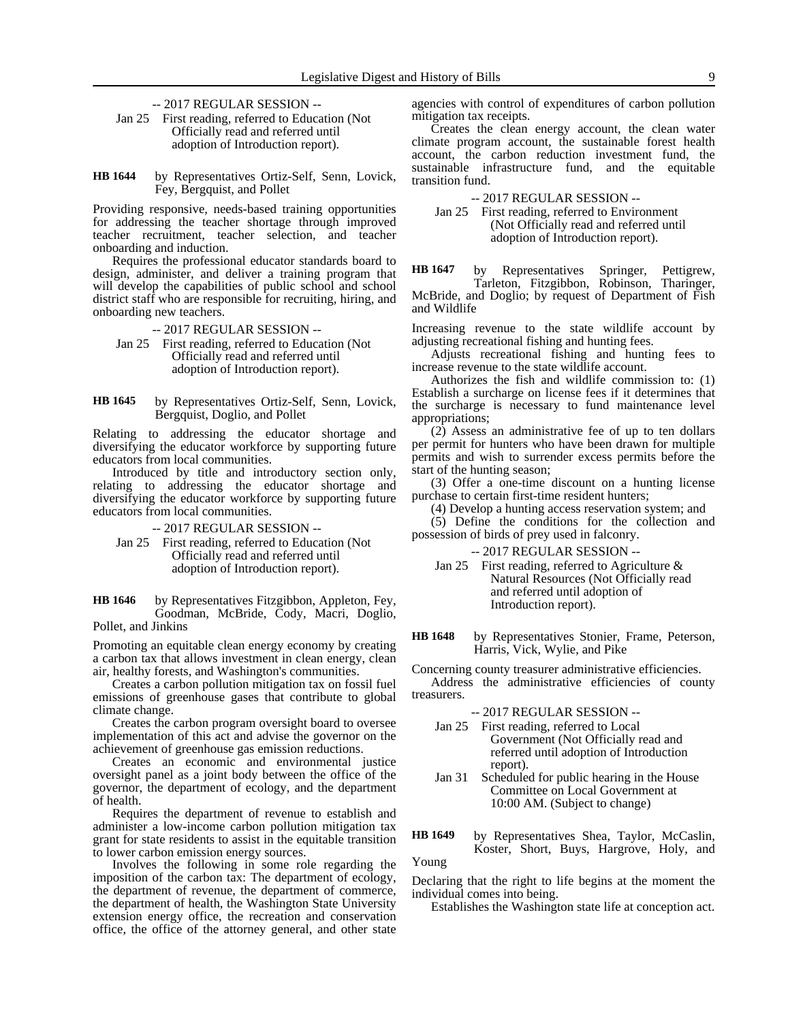- -- 2017 REGULAR SESSION --
- Jan 25 First reading, referred to Education (Not Officially read and referred until adoption of Introduction report).
- by Representatives Ortiz-Self, Senn, Lovick, Fey, Bergquist, and Pollet **HB 1644**

Providing responsive, needs-based training opportunities for addressing the teacher shortage through improved teacher recruitment, teacher selection, and teacher onboarding and induction.

Requires the professional educator standards board to design, administer, and deliver a training program that will develop the capabilities of public school and school district staff who are responsible for recruiting, hiring, and onboarding new teachers.

-- 2017 REGULAR SESSION --

- Jan 25 First reading, referred to Education (Not Officially read and referred until adoption of Introduction report).
- by Representatives Ortiz-Self, Senn, Lovick, Bergquist, Doglio, and Pollet **HB 1645**

Relating to addressing the educator shortage and diversifying the educator workforce by supporting future educators from local communities.

Introduced by title and introductory section only, relating to addressing the educator shortage and diversifying the educator workforce by supporting future educators from local communities.

-- 2017 REGULAR SESSION --

Jan 25 First reading, referred to Education (Not Officially read and referred until adoption of Introduction report).

by Representatives Fitzgibbon, Appleton, Fey, Goodman, McBride, Cody, Macri, Doglio, Pollet, and Jinkins **HB 1646**

Promoting an equitable clean energy economy by creating a carbon tax that allows investment in clean energy, clean air, healthy forests, and Washington's communities.

Creates a carbon pollution mitigation tax on fossil fuel emissions of greenhouse gases that contribute to global climate change.

Creates the carbon program oversight board to oversee implementation of this act and advise the governor on the achievement of greenhouse gas emission reductions.

Creates an economic and environmental justice oversight panel as a joint body between the office of the governor, the department of ecology, and the department of health.

Requires the department of revenue to establish and administer a low-income carbon pollution mitigation tax grant for state residents to assist in the equitable transition to lower carbon emission energy sources.

Involves the following in some role regarding the imposition of the carbon tax: The department of ecology, the department of revenue, the department of commerce, the department of health, the Washington State University extension energy office, the recreation and conservation office, the office of the attorney general, and other state

agencies with control of expenditures of carbon pollution mitigation tax receipts.

Creates the clean energy account, the clean water climate program account, the sustainable forest health account, the carbon reduction investment fund, the sustainable infrastructure fund, and the equitable transition fund.

-- 2017 REGULAR SESSION --

Jan 25 First reading, referred to Environment (Not Officially read and referred until adoption of Introduction report).

by Representatives Springer, Pettigrew, Tarleton, Fitzgibbon, Robinson, Tharinger, McBride, and Doglio; by request of Department of Fish and Wildlife **HB 1647**

Increasing revenue to the state wildlife account by adjusting recreational fishing and hunting fees.

Adjusts recreational fishing and hunting fees to increase revenue to the state wildlife account.

Authorizes the fish and wildlife commission to: (1) Establish a surcharge on license fees if it determines that the surcharge is necessary to fund maintenance level appropriations;

(2) Assess an administrative fee of up to ten dollars per permit for hunters who have been drawn for multiple permits and wish to surrender excess permits before the start of the hunting season;

(3) Offer a one-time discount on a hunting license purchase to certain first-time resident hunters;

(4) Develop a hunting access reservation system; and

(5) Define the conditions for the collection and possession of birds of prey used in falconry.

-- 2017 REGULAR SESSION --

Jan 25 First reading, referred to Agriculture & Natural Resources (Not Officially read and referred until adoption of Introduction report).

by Representatives Stonier, Frame, Peterson, Harris, Vick, Wylie, and Pike **HB 1648**

Concerning county treasurer administrative efficiencies.

Address the administrative efficiencies of county treasurers.

### -- 2017 REGULAR SESSION --

- Jan 25 First reading, referred to Local Government (Not Officially read and referred until adoption of Introduction report).
- Jan 31 Scheduled for public hearing in the House Committee on Local Government at 10:00 AM. (Subject to change)
- by Representatives Shea, Taylor, McCaslin, Koster, Short, Buys, Hargrove, Holy, and **HB 1649**

Young

Declaring that the right to life begins at the moment the individual comes into being.

Establishes the Washington state life at conception act.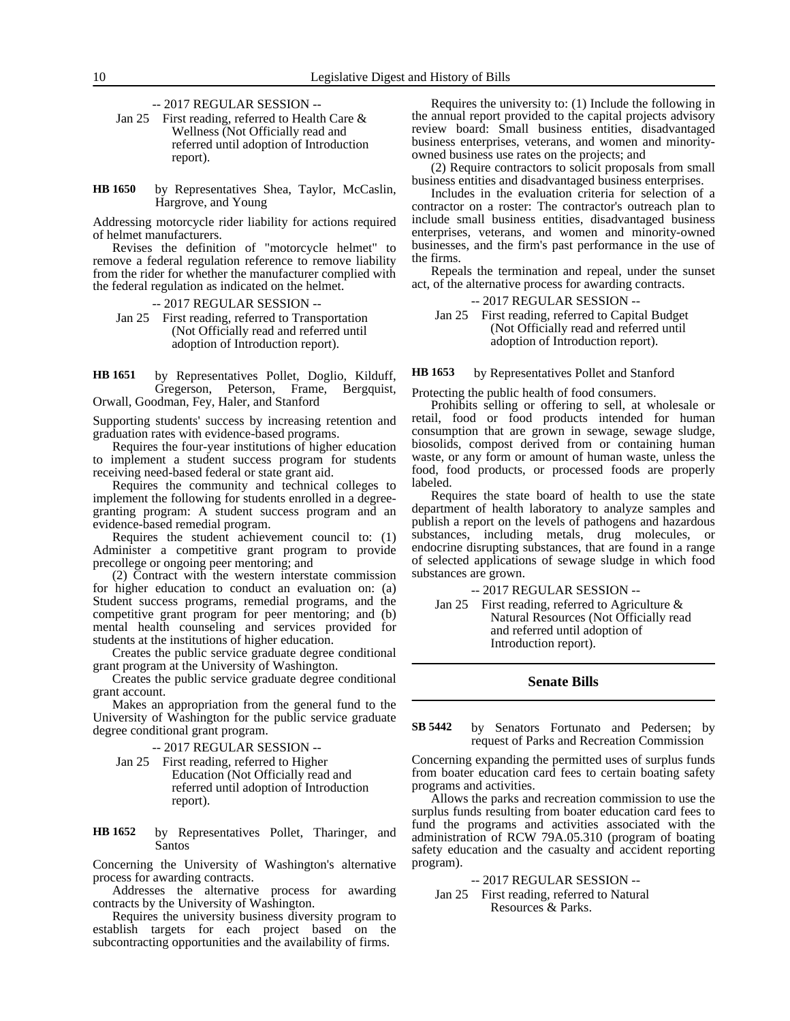-- 2017 REGULAR SESSION --

- Jan 25 First reading, referred to Health Care & Wellness (Not Officially read and referred until adoption of Introduction report).
- by Representatives Shea, Taylor, McCaslin, Hargrove, and Young **HB 1650**

Addressing motorcycle rider liability for actions required of helmet manufacturers.

Revises the definition of "motorcycle helmet" to remove a federal regulation reference to remove liability from the rider for whether the manufacturer complied with the federal regulation as indicated on the helmet.

-- 2017 REGULAR SESSION --

Jan 25 First reading, referred to Transportation (Not Officially read and referred until adoption of Introduction report).

by Representatives Pollet, Doglio, Kilduff, Gregerson, Peterson, Frame, Bergquist, Orwall, Goodman, Fey, Haler, and Stanford **HB 1651**

Supporting students' success by increasing retention and graduation rates with evidence-based programs.

Requires the four-year institutions of higher education to implement a student success program for students receiving need-based federal or state grant aid.

Requires the community and technical colleges to implement the following for students enrolled in a degreegranting program: A student success program and an evidence-based remedial program.

Requires the student achievement council to: (1) Administer a competitive grant program to provide precollege or ongoing peer mentoring; and

(2) Contract with the western interstate commission for higher education to conduct an evaluation on: (a) Student success programs, remedial programs, and the competitive grant program for peer mentoring; and (b) mental health counseling and services provided for students at the institutions of higher education.

Creates the public service graduate degree conditional grant program at the University of Washington.

Creates the public service graduate degree conditional grant account.

Makes an appropriation from the general fund to the University of Washington for the public service graduate degree conditional grant program.

-- 2017 REGULAR SESSION --

Jan 25 First reading, referred to Higher Education (Not Officially read and referred until adoption of Introduction report).

by Representatives Pollet, Tharinger, and Santos **HB 1652**

Concerning the University of Washington's alternative process for awarding contracts.

Addresses the alternative process for awarding contracts by the University of Washington.

Requires the university business diversity program to establish targets for each project based on the subcontracting opportunities and the availability of firms.

Requires the university to: (1) Include the following in the annual report provided to the capital projects advisory review board: Small business entities, disadvantaged business enterprises, veterans, and women and minorityowned business use rates on the projects; and

(2) Require contractors to solicit proposals from small business entities and disadvantaged business enterprises.

Includes in the evaluation criteria for selection of a contractor on a roster: The contractor's outreach plan to include small business entities, disadvantaged business enterprises, veterans, and women and minority-owned businesses, and the firm's past performance in the use of the firms.

Repeals the termination and repeal, under the sunset act, of the alternative process for awarding contracts.

-- 2017 REGULAR SESSION --

Jan 25 First reading, referred to Capital Budget (Not Officially read and referred until adoption of Introduction report).

by Representatives Pollet and Stanford **HB 1653**

Protecting the public health of food consumers.

Prohibits selling or offering to sell, at wholesale or retail, food or food products intended for human consumption that are grown in sewage, sewage sludge, biosolids, compost derived from or containing human waste, or any form or amount of human waste, unless the food, food products, or processed foods are properly labeled.

Requires the state board of health to use the state department of health laboratory to analyze samples and publish a report on the levels of pathogens and hazardous substances, including metals, drug molecules, or endocrine disrupting substances, that are found in a range of selected applications of sewage sludge in which food substances are grown.

-- 2017 REGULAR SESSION --

Jan 25 First reading, referred to Agriculture & Natural Resources (Not Officially read and referred until adoption of Introduction report).

### **Senate Bills**

by Senators Fortunato and Pedersen; by request of Parks and Recreation Commission **SB 5442**

Concerning expanding the permitted uses of surplus funds from boater education card fees to certain boating safety programs and activities.

Allows the parks and recreation commission to use the surplus funds resulting from boater education card fees to fund the programs and activities associated with the administration of RCW 79A.05.310 (program of boating safety education and the casualty and accident reporting program).

-- 2017 REGULAR SESSION --

Jan 25 First reading, referred to Natural Resources & Parks.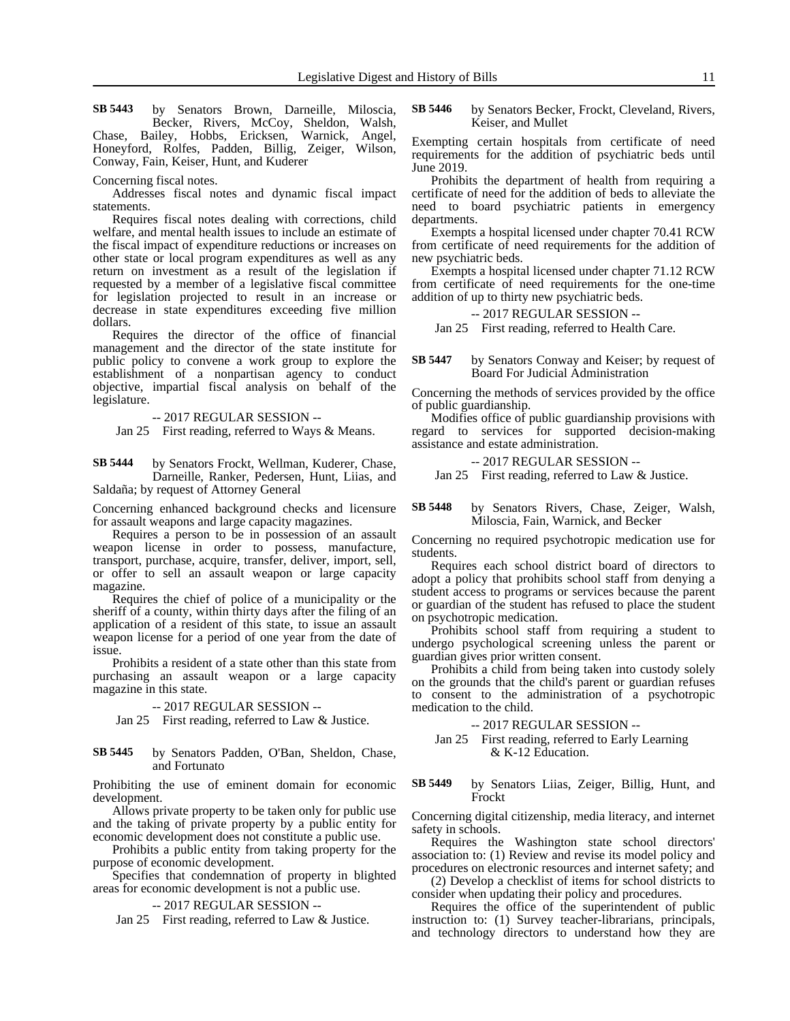by Senators Brown, Darneille, Miloscia, Becker, Rivers, McCoy, Sheldon, Walsh, Chase, Bailey, Hobbs, Ericksen, Warnick, Angel, Honeyford, Rolfes, Padden, Billig, Zeiger, Wilson, Conway, Fain, Keiser, Hunt, and Kuderer **SB 5443**

Concerning fiscal notes.

Addresses fiscal notes and dynamic fiscal impact statements.

Requires fiscal notes dealing with corrections, child welfare, and mental health issues to include an estimate of the fiscal impact of expenditure reductions or increases on other state or local program expenditures as well as any return on investment as a result of the legislation if requested by a member of a legislative fiscal committee for legislation projected to result in an increase or decrease in state expenditures exceeding five million dollars.

Requires the director of the office of financial management and the director of the state institute for public policy to convene a work group to explore the establishment of a nonpartisan agency to conduct objective, impartial fiscal analysis on behalf of the legislature.

-- 2017 REGULAR SESSION --

Jan 25 First reading, referred to Ways & Means.

by Senators Frockt, Wellman, Kuderer, Chase, Darneille, Ranker, Pedersen, Hunt, Liias, and Saldaña; by request of Attorney General **SB 5444**

Concerning enhanced background checks and licensure for assault weapons and large capacity magazines.

Requires a person to be in possession of an assault weapon license in order to possess, manufacture, transport, purchase, acquire, transfer, deliver, import, sell, or offer to sell an assault weapon or large capacity magazine.

Requires the chief of police of a municipality or the sheriff of a county, within thirty days after the filing of an application of a resident of this state, to issue an assault weapon license for a period of one year from the date of issue.

Prohibits a resident of a state other than this state from purchasing an assault weapon or a large capacity magazine in this state.

-- 2017 REGULAR SESSION --

Jan 25 First reading, referred to Law & Justice.

#### by Senators Padden, O'Ban, Sheldon, Chase, and Fortunato **SB 5445**

Prohibiting the use of eminent domain for economic development.

Allows private property to be taken only for public use and the taking of private property by a public entity for economic development does not constitute a public use.

Prohibits a public entity from taking property for the purpose of economic development.

Specifies that condemnation of property in blighted areas for economic development is not a public use.

-- 2017 REGULAR SESSION --

Jan 25 First reading, referred to Law & Justice.

by Senators Becker, Frockt, Cleveland, Rivers, Keiser, and Mullet **SB 5446**

Exempting certain hospitals from certificate of need requirements for the addition of psychiatric beds until June 2019.

Prohibits the department of health from requiring a certificate of need for the addition of beds to alleviate the need to board psychiatric patients in emergency departments.

Exempts a hospital licensed under chapter 70.41 RCW from certificate of need requirements for the addition of new psychiatric beds.

Exempts a hospital licensed under chapter 71.12 RCW from certificate of need requirements for the one-time addition of up to thirty new psychiatric beds.

-- 2017 REGULAR SESSION --

Jan 25 First reading, referred to Health Care.

#### by Senators Conway and Keiser; by request of Board For Judicial Administration **SB 5447**

Concerning the methods of services provided by the office of public guardianship.

Modifies office of public guardianship provisions with regard to services for supported decision-making assistance and estate administration.

-- 2017 REGULAR SESSION --

Jan 25 First reading, referred to Law & Justice.

### by Senators Rivers, Chase, Zeiger, Walsh, Miloscia, Fain, Warnick, and Becker **SB 5448**

Concerning no required psychotropic medication use for students.

Requires each school district board of directors to adopt a policy that prohibits school staff from denying a student access to programs or services because the parent or guardian of the student has refused to place the student on psychotropic medication.

Prohibits school staff from requiring a student to undergo psychological screening unless the parent or guardian gives prior written consent.

Prohibits a child from being taken into custody solely on the grounds that the child's parent or guardian refuses to consent to the administration of a psychotropic medication to the child.

-- 2017 REGULAR SESSION --

Jan 25 First reading, referred to Early Learning & K-12 Education.

by Senators Liias, Zeiger, Billig, Hunt, and Frockt **SB 5449**

Concerning digital citizenship, media literacy, and internet safety in schools.

Requires the Washington state school directors' association to: (1) Review and revise its model policy and procedures on electronic resources and internet safety; and

(2) Develop a checklist of items for school districts to consider when updating their policy and procedures.

Requires the office of the superintendent of public instruction to: (1) Survey teacher-librarians, principals, and technology directors to understand how they are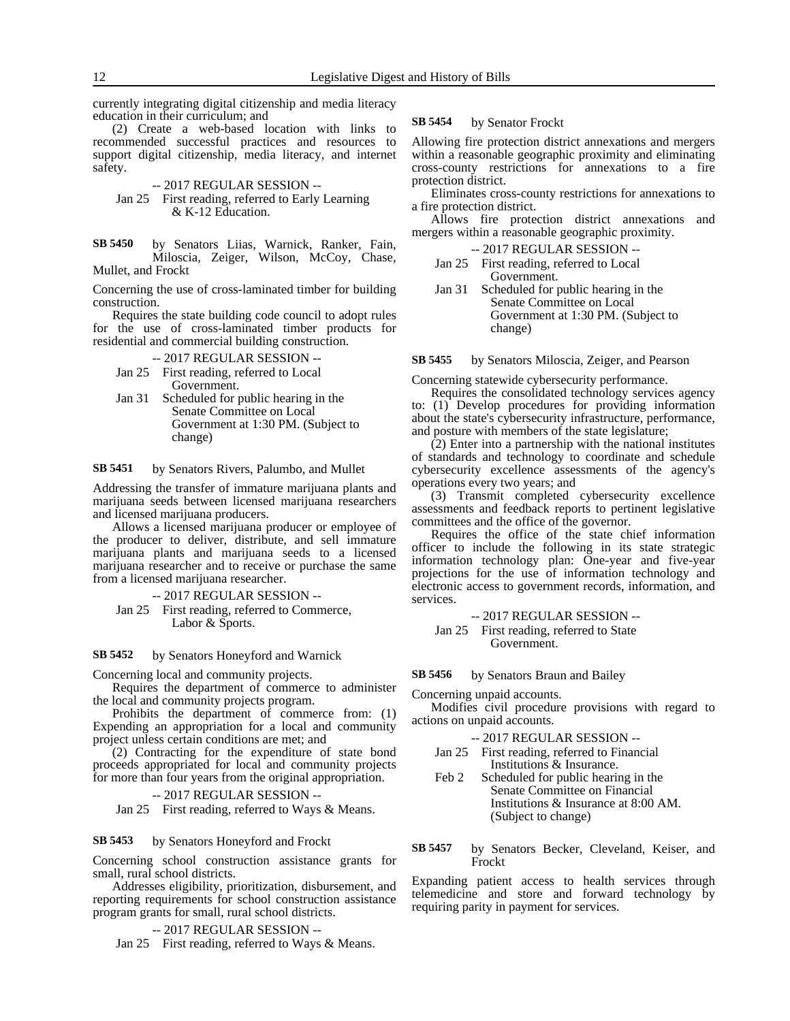currently integrating digital citizenship and media literacy education in their curriculum; and

(2) Create a web-based location with links to recommended successful practices and resources to support digital citizenship, media literacy, and internet safety.

-- 2017 REGULAR SESSION --

Jan 25 First reading, referred to Early Learning & K-12 Education.

by Senators Liias, Warnick, Ranker, Fain, Miloscia, Zeiger, Wilson, McCoy, Chase, Mullet, and Frockt **SB 5450**

Concerning the use of cross-laminated timber for building construction.

Requires the state building code council to adopt rules for the use of cross-laminated timber products for residential and commercial building construction.

-- 2017 REGULAR SESSION --

- Jan 25 First reading, referred to Local Government.
- Jan 31 Scheduled for public hearing in the Senate Committee on Local Government at 1:30 PM. (Subject to change)

by Senators Rivers, Palumbo, and Mullet **SB 5451**

Addressing the transfer of immature marijuana plants and marijuana seeds between licensed marijuana researchers and licensed marijuana producers.

Allows a licensed marijuana producer or employee of the producer to deliver, distribute, and sell immature marijuana plants and marijuana seeds to a licensed marijuana researcher and to receive or purchase the same from a licensed marijuana researcher.

-- 2017 REGULAR SESSION --

Jan 25 First reading, referred to Commerce, Labor & Sports.

by Senators Honeyford and Warnick **SB 5452**

Concerning local and community projects.

Requires the department of commerce to administer the local and community projects program.

Prohibits the department of commerce from: (1) Expending an appropriation for a local and community project unless certain conditions are met; and

(2) Contracting for the expenditure of state bond proceeds appropriated for local and community projects for more than four years from the original appropriation.

-- 2017 REGULAR SESSION --

Jan 25 First reading, referred to Ways & Means.

by Senators Honeyford and Frockt **SB 5453**

Concerning school construction assistance grants for small, rural school districts.

Addresses eligibility, prioritization, disbursement, and reporting requirements for school construction assistance program grants for small, rural school districts.

-- 2017 REGULAR SESSION --

Jan 25 First reading, referred to Ways & Means.

#### by Senator Frockt **SB 5454**

Allowing fire protection district annexations and mergers within a reasonable geographic proximity and eliminating cross-county restrictions for annexations to a fire protection district.

Eliminates cross-county restrictions for annexations to a fire protection district.

Allows fire protection district annexations and mergers within a reasonable geographic proximity.

-- 2017 REGULAR SESSION --

- Jan 25 First reading, referred to Local Government.
- Jan 31 Scheduled for public hearing in the Senate Committee on Local Government at 1:30 PM. (Subject to change)

by Senators Miloscia, Zeiger, and Pearson **SB 5455**

Concerning statewide cybersecurity performance.

Requires the consolidated technology services agency to: (1) Develop procedures for providing information about the state's cybersecurity infrastructure, performance, and posture with members of the state legislature;

(2) Enter into a partnership with the national institutes of standards and technology to coordinate and schedule cybersecurity excellence assessments of the agency's operations every two years; and

(3) Transmit completed cybersecurity excellence assessments and feedback reports to pertinent legislative committees and the office of the governor.

Requires the office of the state chief information officer to include the following in its state strategic information technology plan: One-year and five-year projections for the use of information technology and electronic access to government records, information, and services.

-- 2017 REGULAR SESSION -- Jan 25 First reading, referred to State Government.

by Senators Braun and Bailey **SB 5456**

Concerning unpaid accounts.

Modifies civil procedure provisions with regard to actions on unpaid accounts.

- -- 2017 REGULAR SESSION --
- Jan 25 First reading, referred to Financial Institutions & Insurance.
- Feb 2 Scheduled for public hearing in the Senate Committee on Financial Institutions & Insurance at 8:00 AM. (Subject to change)
- by Senators Becker, Cleveland, Keiser, and Frockt **SB 5457**

Expanding patient access to health services through telemedicine and store and forward technology by requiring parity in payment for services.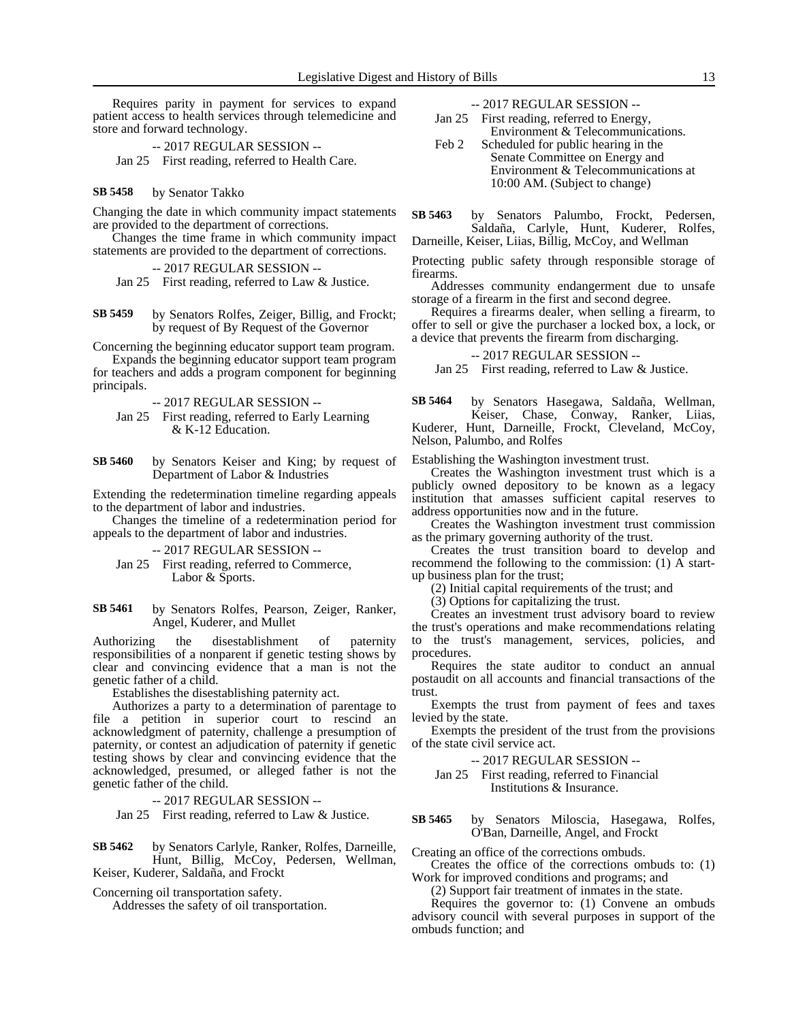Requires parity in payment for services to expand patient access to health services through telemedicine and store and forward technology.

-- 2017 REGULAR SESSION -- Jan 25 First reading, referred to Health Care.

by Senator Takko **SB 5458**

Changing the date in which community impact statements are provided to the department of corrections.

Changes the time frame in which community impact statements are provided to the department of corrections.

-- 2017 REGULAR SESSION --

Jan 25 First reading, referred to Law & Justice.

by Senators Rolfes, Zeiger, Billig, and Frockt; by request of By Request of the Governor **SB 5459**

Concerning the beginning educator support team program.

Expands the beginning educator support team program for teachers and adds a program component for beginning principals.

-- 2017 REGULAR SESSION --

Jan 25 First reading, referred to Early Learning & K-12 Education.

by Senators Keiser and King; by request of Department of Labor & Industries **SB 5460**

Extending the redetermination timeline regarding appeals to the department of labor and industries.

Changes the timeline of a redetermination period for appeals to the department of labor and industries.

-- 2017 REGULAR SESSION --

Jan 25 First reading, referred to Commerce, Labor & Sports.

by Senators Rolfes, Pearson, Zeiger, Ranker, Angel, Kuderer, and Mullet **SB 5461**

Authorizing the disestablishment of paternity responsibilities of a nonparent if genetic testing shows by clear and convincing evidence that a man is not the genetic father of a child.

Establishes the disestablishing paternity act.

Authorizes a party to a determination of parentage to file a petition in superior court to rescind an acknowledgment of paternity, challenge a presumption of paternity, or contest an adjudication of paternity if genetic testing shows by clear and convincing evidence that the acknowledged, presumed, or alleged father is not the genetic father of the child.

-- 2017 REGULAR SESSION --

Jan 25 First reading, referred to Law & Justice.

by Senators Carlyle, Ranker, Rolfes, Darneille, Hunt, Billig, McCoy, Pedersen, Wellman, Keiser, Kuderer, Saldaña, and Frockt **SB 5462**

Concerning oil transportation safety.

Addresses the safety of oil transportation.

-- 2017 REGULAR SESSION --

Jan 25 First reading, referred to Energy,

- Environment & Telecommunications. Feb 2 Scheduled for public hearing in the Senate Committee on Energy and Environment & Telecommunications at 10:00 AM. (Subject to change)
- by Senators Palumbo, Frockt, Pedersen, Saldaña, Carlyle, Hunt, Kuderer, Rolfes, **SB 5463**

Darneille, Keiser, Liias, Billig, McCoy, and Wellman

Protecting public safety through responsible storage of firearms.

Addresses community endangerment due to unsafe storage of a firearm in the first and second degree.

Requires a firearms dealer, when selling a firearm, to offer to sell or give the purchaser a locked box, a lock, or a device that prevents the firearm from discharging.

-- 2017 REGULAR SESSION --

Jan 25 First reading, referred to Law & Justice.

by Senators Hasegawa, Saldaña, Wellman, Keiser, Chase, Conway, Ranker, Liias, Kuderer, Hunt, Darneille, Frockt, Cleveland, McCoy, Nelson, Palumbo, and Rolfes **SB 5464**

Establishing the Washington investment trust.

Creates the Washington investment trust which is a publicly owned depository to be known as a legacy institution that amasses sufficient capital reserves to address opportunities now and in the future.

Creates the Washington investment trust commission as the primary governing authority of the trust.

Creates the trust transition board to develop and recommend the following to the commission: (1) A startup business plan for the trust;

(2) Initial capital requirements of the trust; and

(3) Options for capitalizing the trust.

Creates an investment trust advisory board to review the trust's operations and make recommendations relating to the trust's management, services, policies, and procedures.

Requires the state auditor to conduct an annual postaudit on all accounts and financial transactions of the trust.

Exempts the trust from payment of fees and taxes levied by the state.

Exempts the president of the trust from the provisions of the state civil service act.

-- 2017 REGULAR SESSION --

Jan 25 First reading, referred to Financial Institutions & Insurance.

by Senators Miloscia, Hasegawa, Rolfes, O'Ban, Darneille, Angel, and Frockt **SB 5465**

Creating an office of the corrections ombuds.

Creates the office of the corrections ombuds to: (1) Work for improved conditions and programs; and

(2) Support fair treatment of inmates in the state.

Requires the governor to: (1) Convene an ombuds advisory council with several purposes in support of the ombuds function; and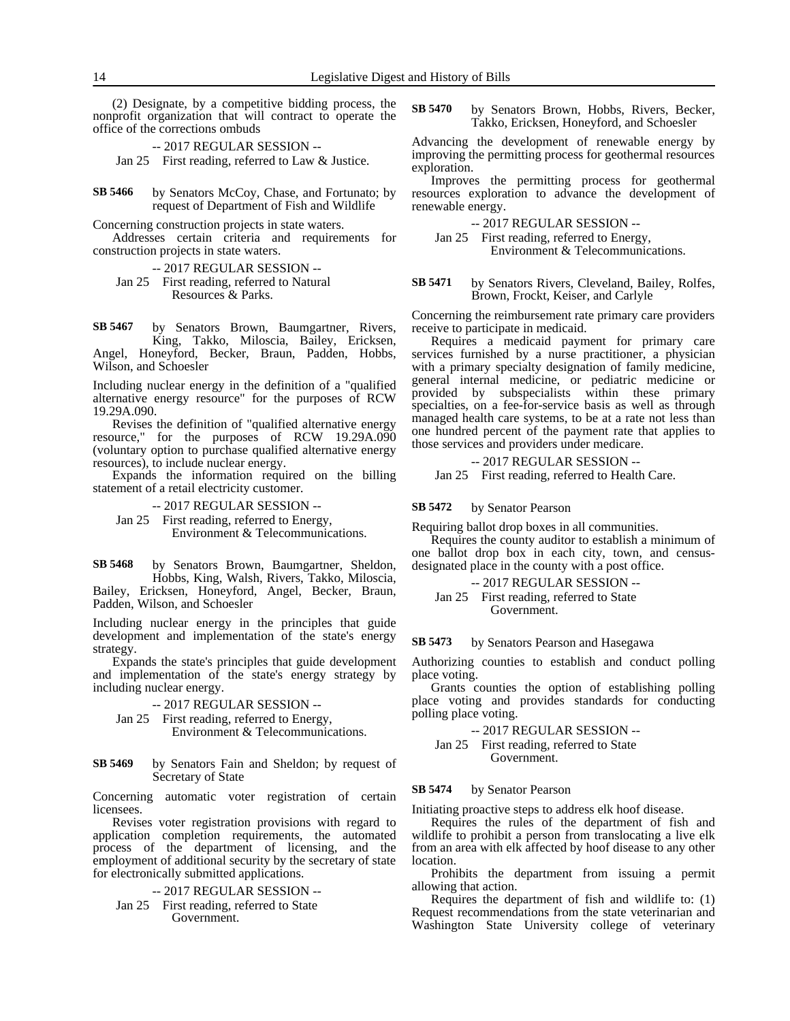(2) Designate, by a competitive bidding process, the nonprofit organization that will contract to operate the office of the corrections ombuds

-- 2017 REGULAR SESSION -- Jan 25 First reading, referred to Law & Justice.

by Senators McCoy, Chase, and Fortunato; by request of Department of Fish and Wildlife **SB 5466**

Concerning construction projects in state waters.

Addresses certain criteria and requirements for construction projects in state waters.

-- 2017 REGULAR SESSION --

Jan 25 First reading, referred to Natural Resources & Parks.

by Senators Brown, Baumgartner, Rivers, King, Takko, Miloscia, Bailey, Ericksen, Angel, Honeyford, Becker, Braun, Padden, Hobbs, Wilson, and Schoesler **SB 5467**

Including nuclear energy in the definition of a "qualified alternative energy resource" for the purposes of RCW 19.29A.090.

Revises the definition of "qualified alternative energy resource," for the purposes of RCW 19.29A.090 (voluntary option to purchase qualified alternative energy resources), to include nuclear energy.

Expands the information required on the billing statement of a retail electricity customer.

-- 2017 REGULAR SESSION --

Jan 25 First reading, referred to Energy, Environment & Telecommunications.

by Senators Brown, Baumgartner, Sheldon, Hobbs, King, Walsh, Rivers, Takko, Miloscia, Bailey, Ericksen, Honeyford, Angel, Becker, Braun, Padden, Wilson, and Schoesler **SB 5468**

Including nuclear energy in the principles that guide development and implementation of the state's energy strategy.

Expands the state's principles that guide development and implementation of the state's energy strategy by including nuclear energy.

-- 2017 REGULAR SESSION --

Jan 25 First reading, referred to Energy, Environment & Telecommunications.

by Senators Fain and Sheldon; by request of Secretary of State **SB 5469**

Concerning automatic voter registration of certain licensees.

Revises voter registration provisions with regard to application completion requirements, the automated process of the department of licensing, and the employment of additional security by the secretary of state for electronically submitted applications.

-- 2017 REGULAR SESSION --

Jan 25 First reading, referred to State Government.

by Senators Brown, Hobbs, Rivers, Becker, Takko, Ericksen, Honeyford, and Schoesler **SB 5470**

Advancing the development of renewable energy by improving the permitting process for geothermal resources exploration.

Improves the permitting process for geothermal resources exploration to advance the development of renewable energy.

-- 2017 REGULAR SESSION --

Jan 25 First reading, referred to Energy, Environment & Telecommunications.

by Senators Rivers, Cleveland, Bailey, Rolfes, Brown, Frockt, Keiser, and Carlyle **SB 5471**

Concerning the reimbursement rate primary care providers receive to participate in medicaid.

Requires a medicaid payment for primary care services furnished by a nurse practitioner, a physician with a primary specialty designation of family medicine, general internal medicine, or pediatric medicine or provided by subspecialists within these primary specialties, on a fee-for-service basis as well as through managed health care systems, to be at a rate not less than one hundred percent of the payment rate that applies to those services and providers under medicare.

-- 2017 REGULAR SESSION -- Jan 25 First reading, referred to Health Care.

**SB 5472**

by Senator Pearson

Requiring ballot drop boxes in all communities.

Requires the county auditor to establish a minimum of one ballot drop box in each city, town, and censusdesignated place in the county with a post office.

-- 2017 REGULAR SESSION -- Jan 25 First reading, referred to State Government.

by Senators Pearson and Hasegawa **SB 5473**

Authorizing counties to establish and conduct polling place voting.

Grants counties the option of establishing polling place voting and provides standards for conducting polling place voting.

-- 2017 REGULAR SESSION -- Jan 25 First reading, referred to State Government.

#### by Senator Pearson **SB 5474**

Initiating proactive steps to address elk hoof disease.

Requires the rules of the department of fish and wildlife to prohibit a person from translocating a live elk from an area with elk affected by hoof disease to any other location.

Prohibits the department from issuing a permit allowing that action.

Requires the department of fish and wildlife to: (1) Request recommendations from the state veterinarian and Washington State University college of veterinary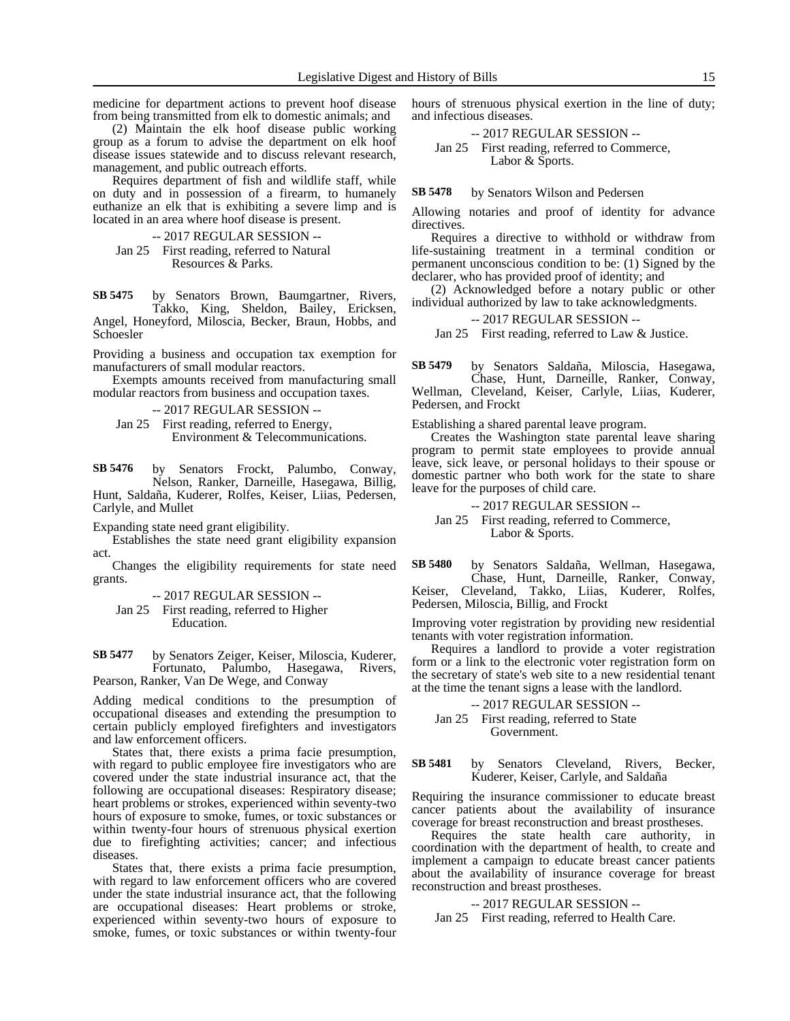medicine for department actions to prevent hoof disease from being transmitted from elk to domestic animals; and

(2) Maintain the elk hoof disease public working group as a forum to advise the department on elk hoof disease issues statewide and to discuss relevant research, management, and public outreach efforts.

Requires department of fish and wildlife staff, while on duty and in possession of a firearm, to humanely euthanize an elk that is exhibiting a severe limp and is located in an area where hoof disease is present.

-- 2017 REGULAR SESSION -- Jan 25 First reading, referred to Natural

Resources & Parks.

by Senators Brown, Baumgartner, Rivers, Takko, King, Sheldon, Bailey, Ericksen, Angel, Honeyford, Miloscia, Becker, Braun, Hobbs, and Schoesler **SB 5475**

Providing a business and occupation tax exemption for manufacturers of small modular reactors.

Exempts amounts received from manufacturing small modular reactors from business and occupation taxes.

-- 2017 REGULAR SESSION -- Jan 25 First reading, referred to Energy, Environment & Telecommunications.

by Senators Frockt, Palumbo, Conway, Nelson, Ranker, Darneille, Hasegawa, Billig, Hunt, Saldaña, Kuderer, Rolfes, Keiser, Liias, Pedersen, Carlyle, and Mullet **SB 5476**

Expanding state need grant eligibility.

Establishes the state need grant eligibility expansion act.

Changes the eligibility requirements for state need grants.

Jan 25 First reading, referred to Higher Education.

by Senators Zeiger, Keiser, Miloscia, Kuderer, Fortunato, Palumbo, Hasegawa, Rivers, Pearson, Ranker, Van De Wege, and Conway **SB 5477**

Adding medical conditions to the presumption of occupational diseases and extending the presumption to certain publicly employed firefighters and investigators and law enforcement officers.

States that, there exists a prima facie presumption, with regard to public employee fire investigators who are covered under the state industrial insurance act, that the following are occupational diseases: Respiratory disease; heart problems or strokes, experienced within seventy-two hours of exposure to smoke, fumes, or toxic substances or within twenty-four hours of strenuous physical exertion due to firefighting activities; cancer; and infectious diseases.

States that, there exists a prima facie presumption, with regard to law enforcement officers who are covered under the state industrial insurance act, that the following are occupational diseases: Heart problems or stroke, experienced within seventy-two hours of exposure to smoke, fumes, or toxic substances or within twenty-four

hours of strenuous physical exertion in the line of duty; and infectious diseases.

-- 2017 REGULAR SESSION -- Jan 25 First reading, referred to Commerce, Labor & Sports.

by Senators Wilson and Pedersen **SB 5478**

Allowing notaries and proof of identity for advance directives.

Requires a directive to withhold or withdraw from life-sustaining treatment in a terminal condition or permanent unconscious condition to be: (1) Signed by the declarer, who has provided proof of identity; and

(2) Acknowledged before a notary public or other individual authorized by law to take acknowledgments.

-- 2017 REGULAR SESSION --

Jan 25 First reading, referred to Law & Justice.

by Senators Saldaña, Miloscia, Hasegawa, Chase, Hunt, Darneille, Ranker, Conway, Wellman, Cleveland, Keiser, Carlyle, Liias, Kuderer, Pedersen, and Frockt **SB 5479**

Establishing a shared parental leave program.

Creates the Washington state parental leave sharing program to permit state employees to provide annual leave, sick leave, or personal holidays to their spouse or domestic partner who both work for the state to share leave for the purposes of child care.

-- 2017 REGULAR SESSION --

Jan 25 First reading, referred to Commerce, Labor & Sports.

by Senators Saldaña, Wellman, Hasegawa, Chase, Hunt, Darneille, Ranker, Conway, Keiser, Cleveland, Takko, Liias, Kuderer, Rolfes, Pedersen, Miloscia, Billig, and Frockt **SB 5480**

Improving voter registration by providing new residential tenants with voter registration information.

Requires a landlord to provide a voter registration form or a link to the electronic voter registration form on the secretary of state's web site to a new residential tenant at the time the tenant signs a lease with the landlord.

-- 2017 REGULAR SESSION --

Jan 25 First reading, referred to State Government.

by Senators Cleveland, Rivers, Becker, Kuderer, Keiser, Carlyle, and Saldaña **SB 5481**

Requiring the insurance commissioner to educate breast cancer patients about the availability of insurance coverage for breast reconstruction and breast prostheses.

Requires the state health care authority, in coordination with the department of health, to create and implement a campaign to educate breast cancer patients about the availability of insurance coverage for breast reconstruction and breast prostheses.

### -- 2017 REGULAR SESSION --

Jan 25 First reading, referred to Health Care.

<sup>-- 2017</sup> REGULAR SESSION --